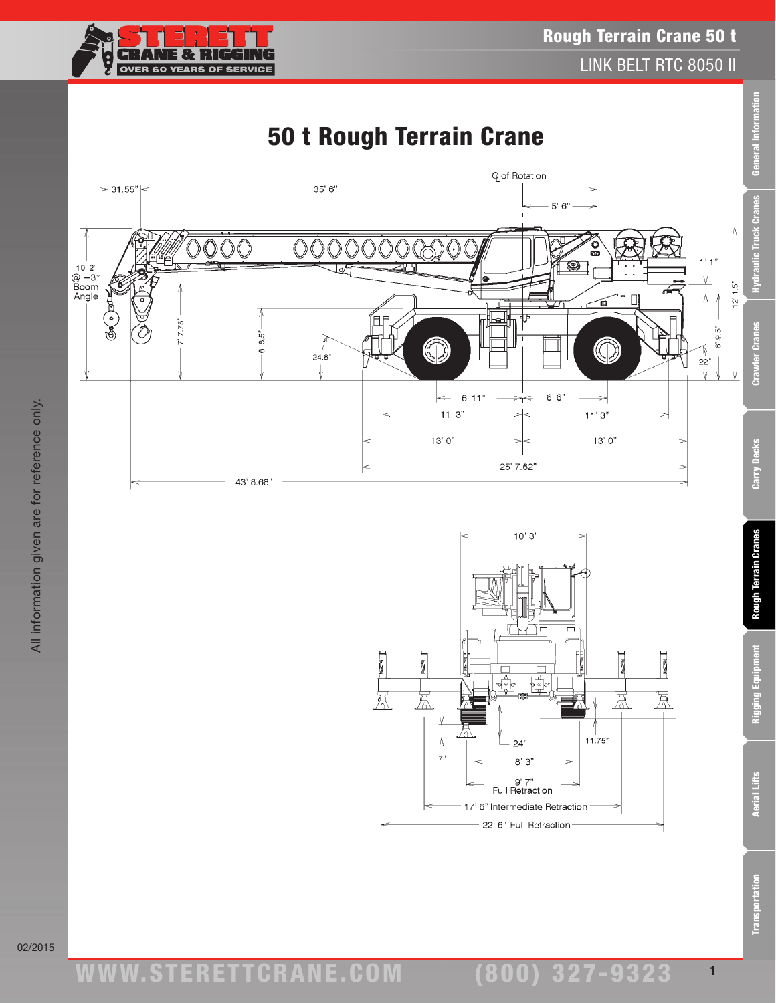

# 50 t Rough Terrain Crane





Rigging Equipment

(800) 327-9323 1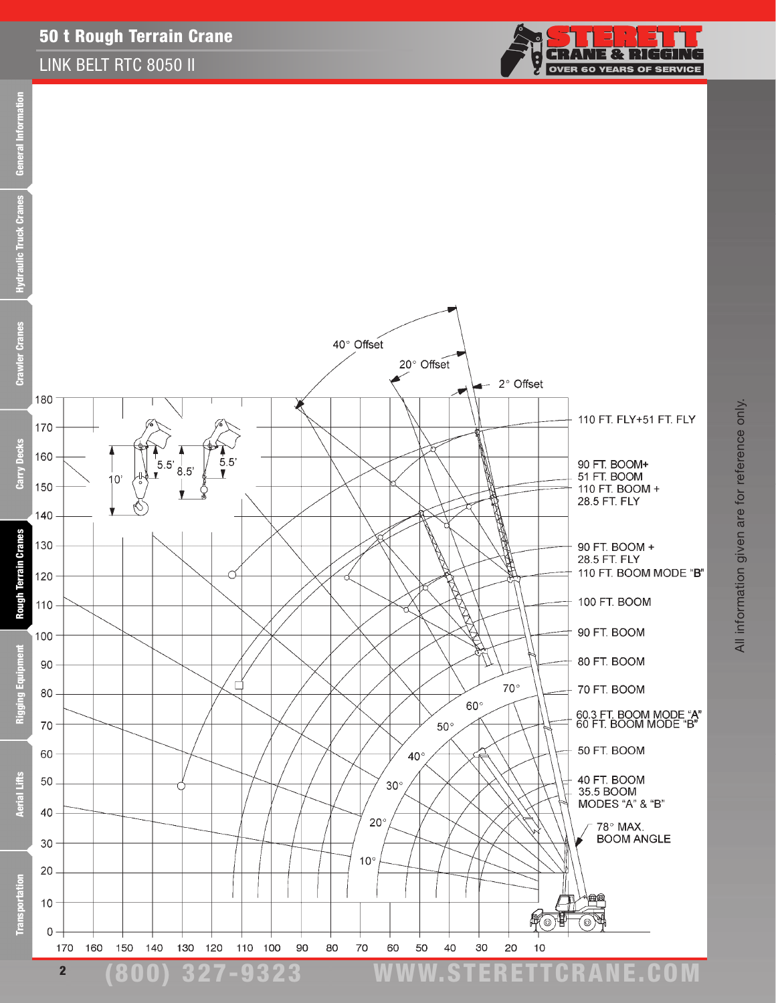#### 50 t Rough Terrain Crane

#### LINK BELT RTC 8050 II



**CRANE & RIGGING** 

**OVER 60 YEARS OF SERVICE** 

÷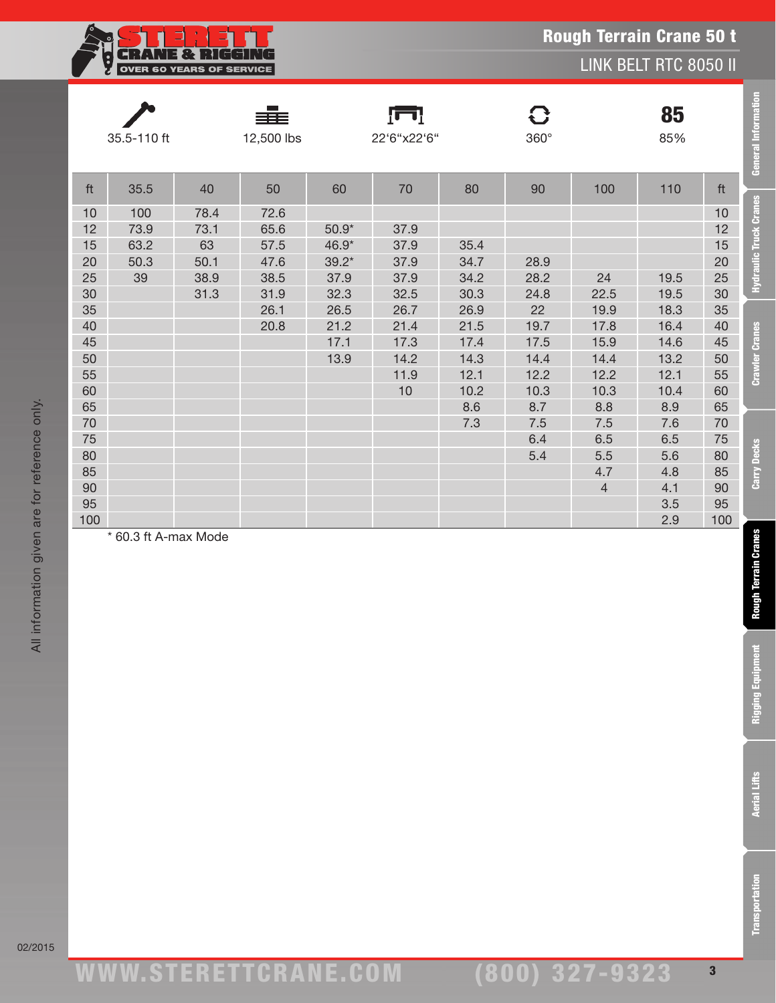| 82 I<br>л.                      |
|---------------------------------|
| <b>OVER 60 YEARS OF SERVICE</b> |

LINK BELT RTC 8050 II

|                                         | 35.5-110 ft                       |                                            | 12,500 lbs                                   |                                             | $\Gamma$<br>22'6"x22'6"                    |                                                     | C<br>$360^\circ$                                  |                                                     | 85<br>85%                                           |                                         | <b>General Information</b>    |
|-----------------------------------------|-----------------------------------|--------------------------------------------|----------------------------------------------|---------------------------------------------|--------------------------------------------|-----------------------------------------------------|---------------------------------------------------|-----------------------------------------------------|-----------------------------------------------------|-----------------------------------------|-------------------------------|
| ft                                      | 35.5                              | 40                                         | 50                                           | 60                                          | 70                                         | 80                                                  | 90                                                | 100                                                 | 110                                                 | ft                                      |                               |
| 10<br>12<br>15<br>20<br>25<br>30        | 100<br>73.9<br>63.2<br>50.3<br>39 | 78.4<br>73.1<br>63<br>50.1<br>38.9<br>31.3 | 72.6<br>65.6<br>57.5<br>47.6<br>38.5<br>31.9 | $50.9*$<br>46.9*<br>$39.2*$<br>37.9<br>32.3 | 37.9<br>37.9<br>37.9<br>37.9<br>32.5       | 35.4<br>34.7<br>34.2<br>30.3                        | 28.9<br>28.2<br>24.8                              | 24<br>22.5                                          | 19.5<br>19.5                                        | 10<br>12<br>15<br>20<br>25<br>30        | <b>Hydraulic Truck Cranes</b> |
| 35<br>40<br>45<br>50<br>55<br>60<br>65  |                                   |                                            | 26.1<br>20.8                                 | 26.5<br>21.2<br>17.1<br>13.9                | 26.7<br>21.4<br>17.3<br>14.2<br>11.9<br>10 | 26.9<br>21.5<br>17.4<br>14.3<br>12.1<br>10.2<br>8.6 | 22<br>19.7<br>17.5<br>14.4<br>12.2<br>10.3<br>8.7 | 19.9<br>17.8<br>15.9<br>14.4<br>12.2<br>10.3<br>8.8 | 18.3<br>16.4<br>14.6<br>13.2<br>12.1<br>10.4<br>8.9 | 35<br>40<br>45<br>50<br>55<br>60<br>65  | <b>Crawler Cranes</b>         |
| 70<br>75<br>80<br>85<br>90<br>95<br>100 |                                   |                                            |                                              |                                             |                                            | 7.3                                                 | $7.5\,$<br>6.4<br>5.4                             | 7.5<br>6.5<br>5.5<br>4.7<br>$\overline{4}$          | 7.6<br>6.5<br>5.6<br>4.8<br>4.1<br>3.5<br>2.9       | 70<br>75<br>80<br>85<br>90<br>95<br>100 | <b>Carry Decks</b>            |
|                                         | * 60.3 ft A-max Mode              |                                            |                                              |                                             |                                            |                                                     |                                                   |                                                     |                                                     |                                         | <b>Rough Terrain Cranes</b>   |
|                                         |                                   |                                            |                                              |                                             |                                            |                                                     |                                                   |                                                     |                                                     |                                         | <b>Rigging Equipment</b>      |
|                                         |                                   |                                            |                                              |                                             |                                            |                                                     |                                                   |                                                     |                                                     |                                         | <b>Aerial Lifts</b>           |
|                                         |                                   |                                            |                                              |                                             |                                            |                                                     |                                                   |                                                     |                                                     |                                         | <b>Transportation</b>         |

02/2015